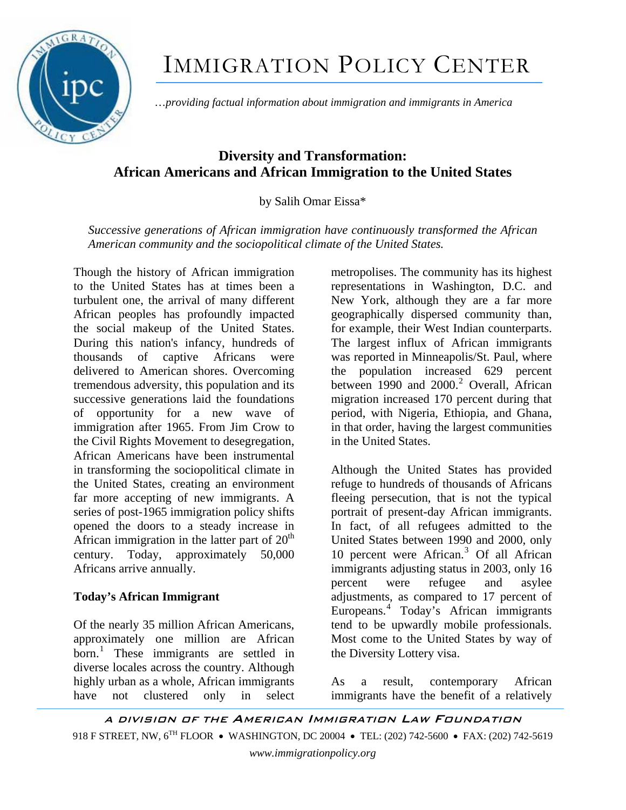

# IMMIGRATION POLICY CENTER

…*providing factual information about immigration and immigrants in America*

## **Diversity and Transformation: African Americans and African Immigration to the United States**

### by Salih Omar Eissa\*

*Successive generations of African immigration have continuously transformed the African American community and the sociopolitical climate of the United States.* 

Though the history of African immigration to the United States has at times been a turbulent one, the arrival of many different African peoples has profoundly impacted the social makeup of the United States. During this nation's infancy, hundreds of thousands of captive Africans were delivered to American shores. Overcoming tremendous adversity, this population and its successive generations laid the foundations of opportunity for a new wave of immigration after 1965. From Jim Crow to the Civil Rights Movement to desegregation, African Americans have been instrumental in transforming the sociopolitical climate in the United States, creating an environment far more accepting of new immigrants. A series of post-1965 immigration policy shifts opened the doors to a steady increase in African immigration in the latter part of  $20<sup>th</sup>$ century. Today, approximately 50,000 Africans arrive annually.

#### **Today's African Immigrant**

Of the nearly 35 million African Americans, approximately one million are African born.<sup>[1](#page-3-0)</sup> These immigrants are settled in diverse locales across the country. Although highly urban as a whole, African immigrants have not clustered only in select

metropolises. The community has its highest representations in Washington, D.C. and New York, although they are a far more geographically dispersed community than, for example, their West Indian counterparts. The largest influx of African immigrants was reported in Minneapolis/St. Paul, where the population increased 629 percent between 1990 and [2](#page-4-0)000.<sup>2</sup> Overall, African migration increased 170 percent during that period, with Nigeria, Ethiopia, and Ghana, in that order, having the largest communities in the United States.

Although the United States has provided refuge to hundreds of thousands of Africans fleeing persecution, that is not the typical portrait of present-day African immigrants. In fact, of all refugees admitted to the United States between 1990 and 2000, only 10 percent were African.<sup>[3](#page-4-0)</sup> Of all African immigrants adjusting status in 2003, only 16 percent were refugee and asylee adjustments, as compared to 17 percent of Europeans.[4](#page-4-0) Today's African immigrants tend to be upwardly mobile professionals. Most come to the United States by way of the Diversity Lottery visa.

As a result, contemporary African immigrants have the benefit of a relatively

A DIVISION OF THE AMERICAN IMMIGRATION LAW FOUNDATION 918 F STREET, NW, 6<sup>TH</sup> FLOOR • WASHINGTON, DC 20004 • TEL: (202) 742-5600 • FAX: (202) 742-5619 *www.immigrationpolicy.org*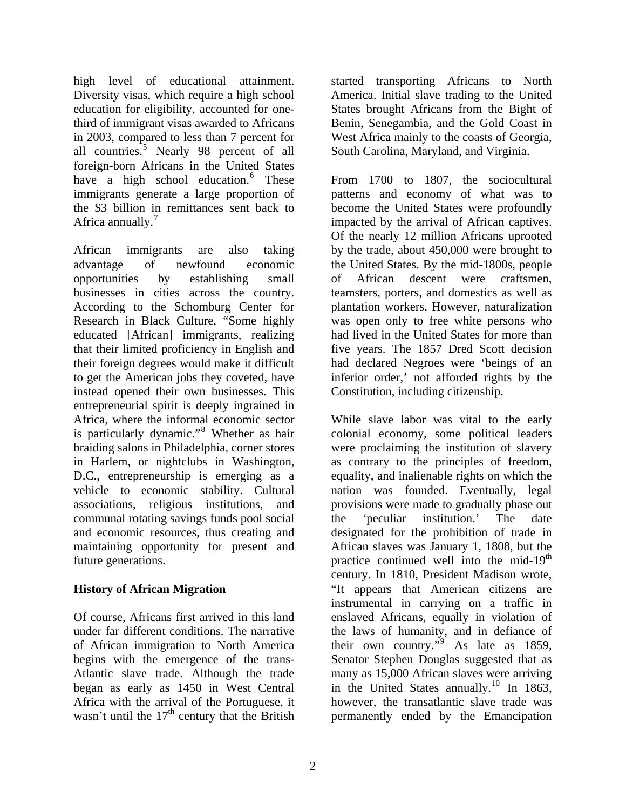high level of educational attainment. Diversity visas, which require a high school education for eligibility, accounted for onethird of immigrant visas awarded to Africans in 2003, compared to less than 7 percent for all countries.<sup>[5](#page-4-0)</sup> Nearly 98 percent of all foreign-born Africans in the United States have a high school education.<sup>[6](#page-4-0)</sup> These immigrants generate a large proportion of the \$3 billion in remittances sent back to Africa annually. $<sup>7</sup>$  $<sup>7</sup>$  $<sup>7</sup>$ </sup>

African immigrants are also taking advantage of newfound economic opportunities by establishing small businesses in cities across the country. According to the Schomburg Center for Research in Black Culture, "Some highly educated [African] immigrants, realizing that their limited proficiency in English and their foreign degrees would make it difficult to get the American jobs they coveted, have instead opened their own businesses. This entrepreneurial spirit is deeply ingrained in Africa, where the informal economic sector is particularly dynamic."<sup>[8](#page-4-0)</sup> Whether as hair braiding salons in Philadelphia, corner stores in Harlem, or nightclubs in Washington, D.C., entrepreneurship is emerging as a vehicle to economic stability. Cultural associations, religious institutions, and communal rotating savings funds pool social and economic resources, thus creating and maintaining opportunity for present and future generations.

#### **History of African Migration**

Of course, Africans first arrived in this land under far different conditions. The narrative of African immigration to North America begins with the emergence of the trans-Atlantic slave trade. Although the trade began as early as 1450 in West Central Africa with the arrival of the Portuguese, it wasn't until the  $17<sup>th</sup>$  century that the British

started transporting Africans to North America. Initial slave trading to the United States brought Africans from the Bight of Benin, Senegambia, and the Gold Coast in West Africa mainly to the coasts of Georgia, South Carolina, Maryland, and Virginia.

From 1700 to 1807, the sociocultural patterns and economy of what was to become the United States were profoundly impacted by the arrival of African captives. Of the nearly 12 million Africans uprooted by the trade, about 450,000 were brought to the United States. By the mid-1800s, people of African descent were craftsmen, teamsters, porters, and domestics as well as plantation workers. However, naturalization was open only to free white persons who had lived in the United States for more than five years. The 1857 Dred Scott decision had declared Negroes were 'beings of an inferior order,' not afforded rights by the Constitution, including citizenship.

While slave labor was vital to the early colonial economy, some political leaders were proclaiming the institution of slavery as contrary to the principles of freedom, equality, and inalienable rights on which the nation was founded. Eventually, legal provisions were made to gradually phase out the 'peculiar institution.' The date designated for the prohibition of trade in African slaves was January 1, 1808, but the practice continued well into the mid-19<sup>th</sup> century. In 1810, President Madison wrote, "It appears that American citizens are instrumental in carrying on a traffic in enslaved Africans, equally in violation of the laws of humanity, and in defiance of their own country."<sup>[9](#page-4-0)</sup> As late as 1859, Senator Stephen Douglas suggested that as many as 15,000 African slaves were arriving in the United States annually.<sup>[10](#page-4-0)</sup> In 1863, however, the transatlantic slave trade was permanently ended by the Emancipation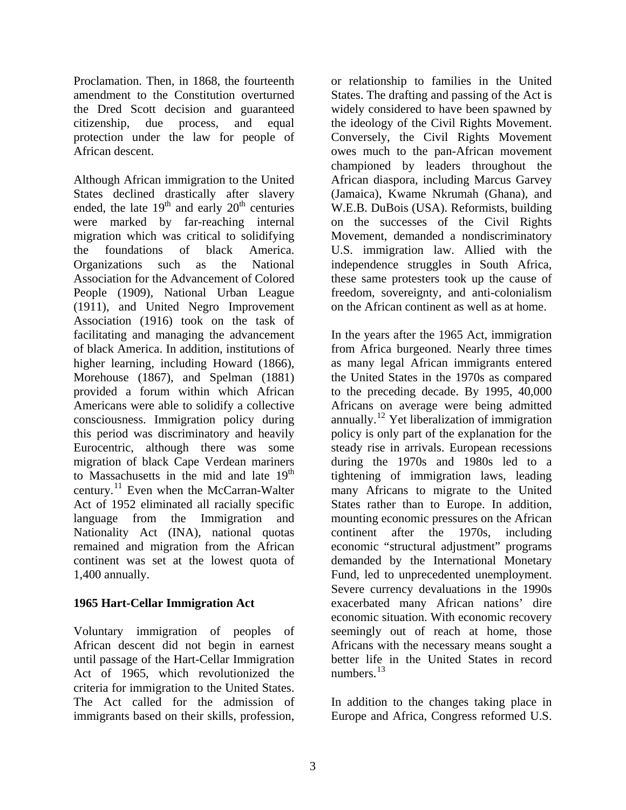Proclamation. Then, in 1868, the fourteenth amendment to the Constitution overturned the Dred Scott decision and guaranteed citizenship, due process, and equal protection under the law for people of African descent.

Although African immigration to the United States declined drastically after slavery ended, the late  $19<sup>th</sup>$  and early  $20<sup>th</sup>$  centuries were marked by far-reaching internal migration which was critical to solidifying the foundations of black America. Organizations such as the National Association for the Advancement of Colored People (1909), National Urban League (1911), and United Negro Improvement Association (1916) took on the task of facilitating and managing the advancement of black America. In addition, institutions of higher learning, including Howard (1866), Morehouse (1867), and Spelman (1881) provided a forum within which African Americans were able to solidify a collective consciousness. Immigration policy during this period was discriminatory and heavily Eurocentric, although there was some migration of black Cape Verdean mariners to Massachusetts in the mid and late 19<sup>th</sup> century.[11](#page-4-0) Even when the McCarran-Walter Act of 1952 eliminated all racially specific language from the Immigration and Nationality Act (INA), national quotas remained and migration from the African continent was set at the lowest quota of 1,400 annually.

#### **1965 Hart-Cellar Immigration Act**

Voluntary immigration of peoples of African descent did not begin in earnest until passage of the Hart-Cellar Immigration Act of 1965, which revolutionized the criteria for immigration to the United States. The Act called for the admission of immigrants based on their skills, profession,

or relationship to families in the United States. The drafting and passing of the Act is widely considered to have been spawned by the ideology of the Civil Rights Movement. Conversely, the Civil Rights Movement owes much to the pan-African movement championed by leaders throughout the African diaspora, including Marcus Garvey (Jamaica), Kwame Nkrumah (Ghana), and W.E.B. DuBois (USA). Reformists, building on the successes of the Civil Rights Movement, demanded a nondiscriminatory U.S. immigration law. Allied with the independence struggles in South Africa, these same protesters took up the cause of freedom, sovereignty, and anti-colonialism on the African continent as well as at home.

In the years after the 1965 Act, immigration from Africa burgeoned. Nearly three times as many legal African immigrants entered the United States in the 1970s as compared to the preceding decade. By 1995, 40,000 Africans on average were being admitted annually.<sup>[12](#page-4-0)</sup> Yet liberalization of immigration policy is only part of the explanation for the steady rise in arrivals. European recessions during the 1970s and 1980s led to a tightening of immigration laws, leading many Africans to migrate to the United States rather than to Europe. In addition, mounting economic pressures on the African continent after the 1970s, including economic "structural adjustment" programs demanded by the International Monetary Fund, led to unprecedented unemployment. Severe currency devaluations in the 1990s exacerbated many African nations' dire economic situation. With economic recovery seemingly out of reach at home, those Africans with the necessary means sought a better life in the United States in record numbers. $13$ 

In addition to the changes taking place in Europe and Africa, Congress reformed U.S.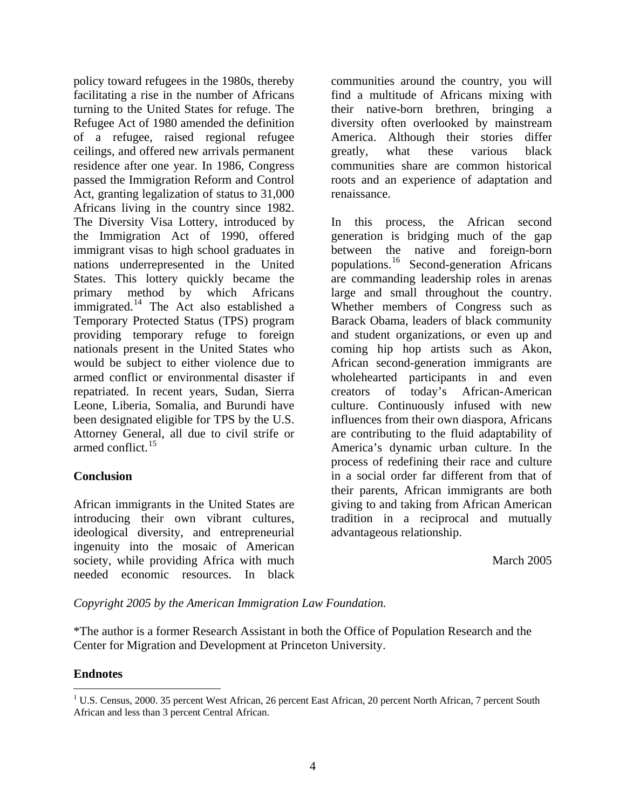policy toward refugees in the 1980s, thereby facilitating a rise in the number of Africans turning to the United States for refuge. The Refugee Act of 1980 amended the definition of a refugee, raised regional refugee ceilings, and offered new arrivals permanent residence after one year. In 1986, Congress passed the Immigration Reform and Control Act, granting legalization of status to 31,000 Africans living in the country since 1982. The Diversity Visa Lottery, introduced by the Immigration Act of 1990, offered immigrant visas to high school graduates in nations underrepresented in the United States. This lottery quickly became the primary method by which Africans immigrated.<sup>[14](#page-4-0)</sup> The Act also established a Temporary Protected Status (TPS) program providing temporary refuge to foreign nationals present in the United States who would be subject to either violence due to armed conflict or environmental disaster if repatriated. In recent years, Sudan, Sierra Leone, Liberia, Somalia, and Burundi have been designated eligible for TPS by the U.S. Attorney General, all due to civil strife or armed conflict.<sup>[15](#page-4-1)</sup>

#### **Conclusion**

African immigrants in the United States are introducing their own vibrant cultures, ideological diversity, and entrepreneurial ingenuity into the mosaic of American society, while providing Africa with much needed economic resources. In black

communities around the country, you will find a multitude of Africans mixing with their native-born brethren, bringing a diversity often overlooked by mainstream America. Although their stories differ greatly, what these various black communities share are common historical roots and an experience of adaptation and renaissance.

In this process, the African second generation is bridging much of the gap between the native and foreign-born populations.[16](#page-4-2) Second-generation Africans are commanding leadership roles in arenas large and small throughout the country. Whether members of Congress such as Barack Obama, leaders of black community and student organizations, or even up and coming hip hop artists such as Akon, African second-generation immigrants are wholehearted participants in and even creators of today's African-American culture. Continuously infused with new influences from their own diaspora, Africans are contributing to the fluid adaptability of America's dynamic urban culture. In the process of redefining their race and culture in a social order far different from that of their parents, African immigrants are both giving to and taking from African American tradition in a reciprocal and mutually advantageous relationship.

March 2005

*Copyright 2005 by the American Immigration Law Foundation.* 

\*The author is a former Research Assistant in both the Office of Population Research and the Center for Migration and Development at Princeton University.

#### **Endnotes**

<span id="page-3-0"></span> $\overline{a}$ <sup>1</sup> U.S. Census, 2000. 35 percent West African, 26 percent East African, 20 percent North African, 7 percent South African and less than 3 percent Central African.